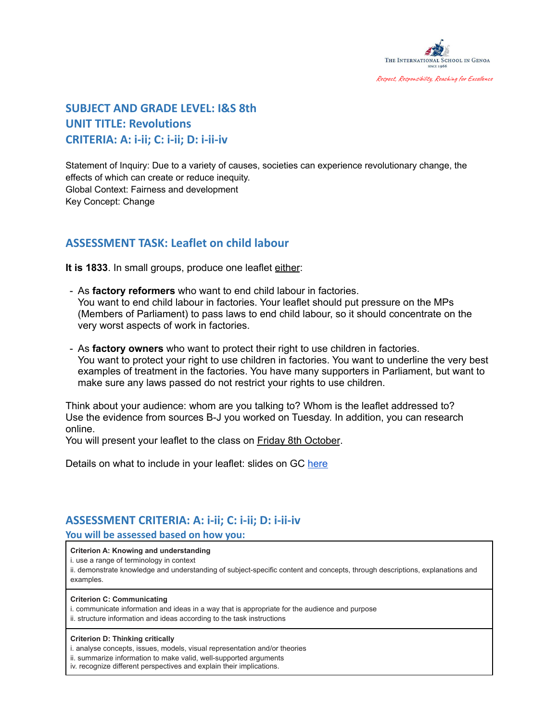

## **SUBJECT AND GRADE LEVEL: I&S 8th UNIT TITLE: Revolutions CRITERIA: A: i-ii; C: i-ii; D: i-ii-iv**

Statement of Inquiry: Due to a variety of causes, societies can experience revolutionary change, the effects of which can create or reduce inequity. Global Context: Fairness and development Key Concept: Change

## **ASSESSMENT TASK: Leaflet on child labour**

**It is 1833**. In small groups, produce one leaflet either:

- As **factory reformers** who want to end child labour in factories. You want to end child labour in factories. Your leaflet should put pressure on the MPs (Members of Parliament) to pass laws to end child labour, so it should concentrate on the very worst aspects of work in factories.
- As **factory owners** who want to protect their right to use children in factories. You want to protect your right to use children in factories. You want to underline the very best examples of treatment in the factories. You have many supporters in Parliament, but want to make sure any laws passed do not restrict your rights to use children.

Think about your audience: whom are you talking to? Whom is the leaflet addressed to? Use the evidence from sources B-J you worked on Tuesday. In addition, you can research online.

You will present your leaflet to the class on **Friday 8th October**.

Details on what to include in your leaflet: slides on GC [here](https://docs.google.com/presentation/u/0/d/1r6sXhjVoWIy68eJX8pDPd-CcJ-UdwptG4mzWkzDUryY/edit)

### **ASSESSMENT CRITERIA: A: i-ii; C: i-ii; D: i-ii-iv**

**You will be assessed based on how you:**

### **Criterion A: Knowing and understanding**

i. use a range of terminology in context

ii. demonstrate knowledge and understanding of subject-specific content and concepts, through descriptions, explanations and examples.

#### **Criterion C: Communicating**

- i. communicate information and ideas in a way that is appropriate for the audience and purpose
- ii. structure information and ideas according to the task instructions

#### **Criterion D: Thinking critically**

i. analyse concepts, issues, models, visual representation and/or theories

- ii. summarize information to make valid, well-supported arguments
- iv. recognize different perspectives and explain their implications.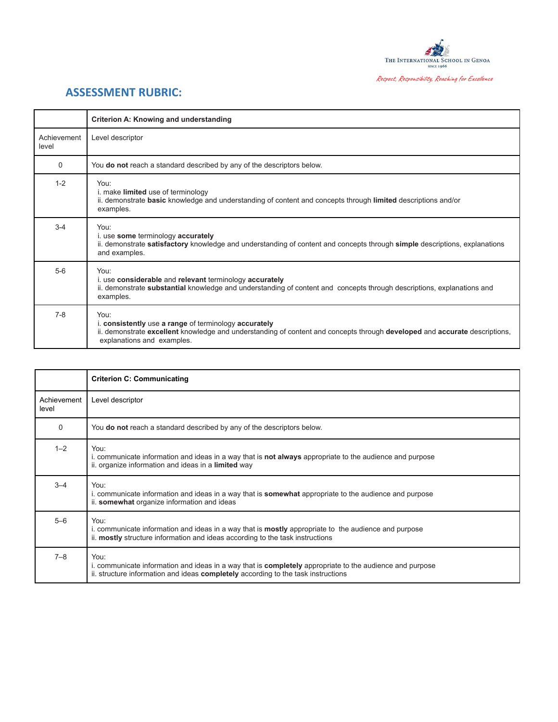

# **ASSESSMENT RUBRIC:**

|                      | Criterion A: Knowing and understanding                                                                                                                                                                                    |
|----------------------|---------------------------------------------------------------------------------------------------------------------------------------------------------------------------------------------------------------------------|
| Achievement<br>level | Level descriptor                                                                                                                                                                                                          |
| $\Omega$             | You <b>do not</b> reach a standard described by any of the descriptors below.                                                                                                                                             |
| $1 - 2$              | You:<br>i. make <b>limited</b> use of terminology<br>ii. demonstrate basic knowledge and understanding of content and concepts through limited descriptions and/or<br>examples.                                           |
| $3 - 4$              | You:<br>i. use some terminology accurately<br>ii. demonstrate satisfactory knowledge and understanding of content and concepts through simple descriptions, explanations<br>and examples.                                 |
| $5-6$                | You:<br>i. use considerable and relevant terminology accurately<br>ii. demonstrate substantial knowledge and understanding of content and concepts through descriptions, explanations and<br>examples.                    |
| $7 - 8$              | You:<br>i. consistently use a range of terminology accurately<br>ii. demonstrate excellent knowledge and understanding of content and concepts through developed and accurate descriptions,<br>explanations and examples. |

|                      | <b>Criterion C: Communicating</b>                                                                                                                                                                            |
|----------------------|--------------------------------------------------------------------------------------------------------------------------------------------------------------------------------------------------------------|
| Achievement<br>level | Level descriptor                                                                                                                                                                                             |
| $\Omega$             | You do not reach a standard described by any of the descriptors below.                                                                                                                                       |
| $1 - 2$              | You:<br>i. communicate information and ideas in a way that is <b>not always</b> appropriate to the audience and purpose<br>ii. organize information and ideas in a limited way                               |
| $3 - 4$              | You:<br>i. communicate information and ideas in a way that is <b>somewhat</b> appropriate to the audience and purpose<br>ii. somewhat organize information and ideas                                         |
| $5 - 6$              | You:<br>i. communicate information and ideas in a way that is <b>mostly</b> appropriate to the audience and purpose<br>ii. mostly structure information and ideas according to the task instructions         |
| $7 - 8$              | You:<br>i. communicate information and ideas in a way that is <b>completely</b> appropriate to the audience and purpose<br>ii. structure information and ideas completely according to the task instructions |